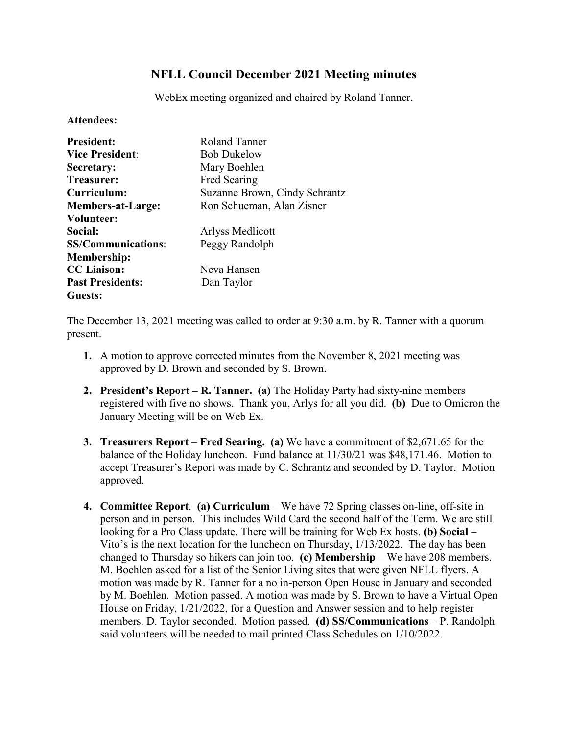## **NFLL Council December 2021 Meeting minutes**

WebEx meeting organized and chaired by Roland Tanner.

## **Attendees:**

| <b>President:</b>         | Roland Tanner                 |
|---------------------------|-------------------------------|
| <b>Vice President:</b>    | <b>Bob Dukelow</b>            |
| Secretary:                | Mary Boehlen                  |
| <b>Treasurer:</b>         | <b>Fred Searing</b>           |
| Curriculum:               | Suzanne Brown, Cindy Schrantz |
| <b>Members-at-Large:</b>  | Ron Schueman, Alan Zisner     |
| Volunteer:                |                               |
| Social:                   | Arlyss Medlicott              |
| <b>SS/Communications:</b> | Peggy Randolph                |
| <b>Membership:</b>        |                               |
| <b>CC</b> Liaison:        | Neva Hansen                   |
| <b>Past Presidents:</b>   | Dan Taylor                    |
| <b>Guests:</b>            |                               |

The December 13, 2021 meeting was called to order at 9:30 a.m. by R. Tanner with a quorum present.

- **1.** A motion to approve corrected minutes from the November 8, 2021 meeting was approved by D. Brown and seconded by S. Brown.
- **2. President's Report – R. Tanner. (a)** The Holiday Party had sixty-nine members registered with five no shows. Thank you, Arlys for all you did. **(b)** Due to Omicron the January Meeting will be on Web Ex.
- **3. Treasurers Report Fred Searing. (a)** We have a commitment of \$2,671.65 for the balance of the Holiday luncheon. Fund balance at 11/30/21 was \$48,171.46. Motion to accept Treasurer's Report was made by C. Schrantz and seconded by D. Taylor. Motion approved.
- **4. Committee Report**. **(a) Curriculum** We have 72 Spring classes on-line, off-site in person and in person. This includes Wild Card the second half of the Term. We are still looking for a Pro Class update. There will be training for Web Ex hosts. **(b) Social** – Vito's is the next location for the luncheon on Thursday, 1/13/2022. The day has been changed to Thursday so hikers can join too. **(c) Membership** – We have 208 members. M. Boehlen asked for a list of the Senior Living sites that were given NFLL flyers. A motion was made by R. Tanner for a no in-person Open House in January and seconded by M. Boehlen. Motion passed. A motion was made by S. Brown to have a Virtual Open House on Friday, 1/21/2022, for a Question and Answer session and to help register members. D. Taylor seconded. Motion passed. **(d) SS/Communications** – P. Randolph said volunteers will be needed to mail printed Class Schedules on 1/10/2022.